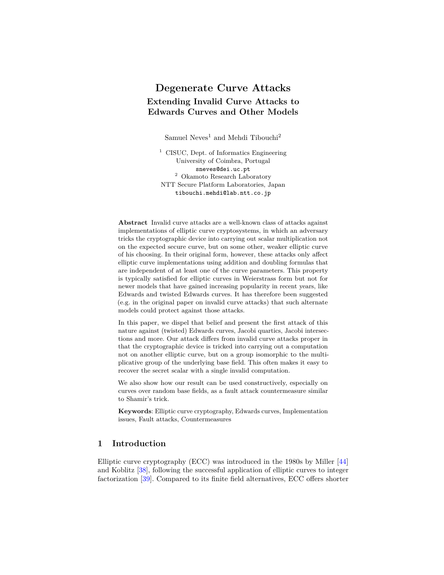# **Degenerate Curve Attacks Extending Invalid Curve Attacks to Edwards Curves and Other Models**

Samuel Neves<sup>1</sup> and Mehdi Tibouchi<sup>2</sup>

<sup>1</sup> CISUC, Dept. of Informatics Engineering University of Coimbra, Portugal sneves@dei.uc.pt  $\,2\,$  Okamoto Research Laboratory NTT Secure Platform Laboratories, Japan tibouchi.mehdi@lab.ntt.co.jp

**Abstract** Invalid curve attacks are a well-known class of attacks against implementations of elliptic curve cryptosystems, in which an adversary tricks the cryptographic device into carrying out scalar multiplication not on the expected secure curve, but on some other, weaker elliptic curve of his choosing. In their original form, however, these attacks only affect elliptic curve implementations using addition and doubling formulas that are independent of at least one of the curve parameters. This property is typically satisfied for elliptic curves in Weierstrass form but not for newer models that have gained increasing popularity in recent years, like Edwards and twisted Edwards curves. It has therefore been suggested (e.g. in the original paper on invalid curve attacks) that such alternate models could protect against those attacks.

In this paper, we dispel that belief and present the first attack of this nature against (twisted) Edwards curves, Jacobi quartics, Jacobi intersections and more. Our attack differs from invalid curve attacks proper in that the cryptographic device is tricked into carrying out a computation not on another elliptic curve, but on a group isomorphic to the multiplicative group of the underlying base field. This often makes it easy to recover the secret scalar with a single invalid computation.

We also show how our result can be used constructively, especially on curves over random base fields, as a fault attack countermeasure similar to Shamir's trick.

**Keywords**: Elliptic curve cryptography, Edwards curves, Implementation issues, Fault attacks, Countermeasures

# **1 Introduction**

Elliptic curve cryptography (ECC) was introduced in the 1980s by Miller [\[44\]](#page-17-0) and Koblitz [\[38\]](#page-16-0), following the successful application of elliptic curves to integer factorization [\[39\]](#page-16-1). Compared to its finite field alternatives, ECC offers shorter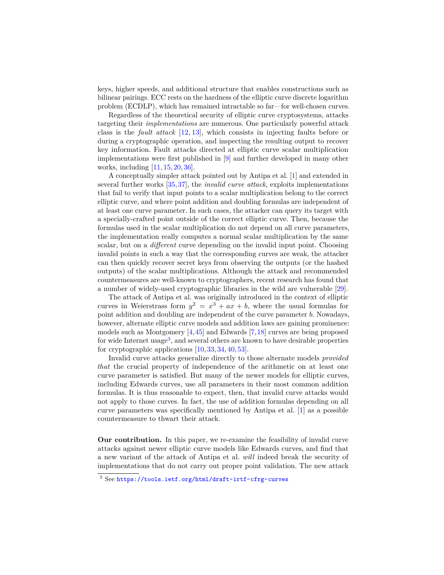keys, higher speeds, and additional structure that enables constructions such as bilinear pairings. ECC rests on the hardness of the elliptic curve discrete logarithm problem (ECDLP), which has remained intractable so far—for well-chosen curves.

Regardless of the theoretical security of elliptic curve cryptosystems, attacks targeting their *implementations* are numerous. One particularly powerful attack class is the *fault attack* [\[12,](#page-15-0) [13\]](#page-15-1), which consists in injecting faults before or during a cryptographic operation, and inspecting the resulting output to recover key information. Fault attacks directed at elliptic curve scalar multiplication implementations were first published in [\[9\]](#page-14-0) and further developed in many other works, including [\[11,](#page-14-1) [15,](#page-15-2) [20,](#page-15-3) [36\]](#page-16-2).

A conceptually simpler attack pointed out by Antipa et al. [\[1\]](#page-14-2) and extended in several further works [\[35,](#page-16-3) [37\]](#page-16-4), the *invalid curve attack*, exploits implementations that fail to verify that input points to a scalar multiplication belong to the correct elliptic curve, and where point addition and doubling formulas are independent of at least one curve parameter. In such cases, the attacker can query its target with a specially-crafted point outside of the correct elliptic curve. Then, because the formulas used in the scalar multiplication do not depend on all curve parameters, the implementation really computes a normal scalar multiplication by the same scalar, but on a *different* curve depending on the invalid input point. Choosing invalid points in such a way that the corresponding curves are weak, the attacker can then quickly recover secret keys from observing the outputs (or the hashed outputs) of the scalar multiplications. Although the attack and recommended countermeasures are well-known to cryptographers, recent research has found that a number of widely-used cryptographic libraries in the wild are vulnerable [\[29\]](#page-16-5).

The attack of Antipa et al. was originally introduced in the context of elliptic curves in Weierstrass form  $y^2 = x^3 + ax + b$ , where the usual formulas for point addition and doubling are independent of the curve parameter *b*. Nowadays, however, alternate elliptic curve models and addition laws are gaining prominence: models such as Montgomery [\[4,](#page-14-3)[45\]](#page-17-1) and Edwards [\[7,](#page-14-4)[18\]](#page-15-4) curves are being proposed for wide Internet usage<sup>[3](#page-1-0)</sup>, and several others are known to have desirable properties for cryptographic applications [\[10,](#page-14-5) [33,](#page-16-6) [34,](#page-16-7) [40,](#page-16-8) [53\]](#page-17-2).

Invalid curve attacks generalize directly to those alternate models *provided that* the crucial property of independence of the arithmetic on at least one curve parameter is satisfied. But many of the newer models for elliptic curves, including Edwards curves, use all parameters in their most common addition formulas. It is thus reasonable to expect, then, that invalid curve attacks would not apply to those curves. In fact, the use of addition formulas depending on all curve parameters was specifically mentioned by Antipa et al. [\[1\]](#page-14-2) as a possible countermeasure to thwart their attack.

**Our contribution.** In this paper, we re-examine the feasibility of invalid curve attacks against newer elliptic curve models like Edwards curves, and find that a new variant of the attack of Antipa et al. *will* indeed break the security of implementations that do not carry out proper point validation. The new attack

<span id="page-1-0"></span><sup>3</sup> See <https://tools.ietf.org/html/draft-irtf-cfrg-curves>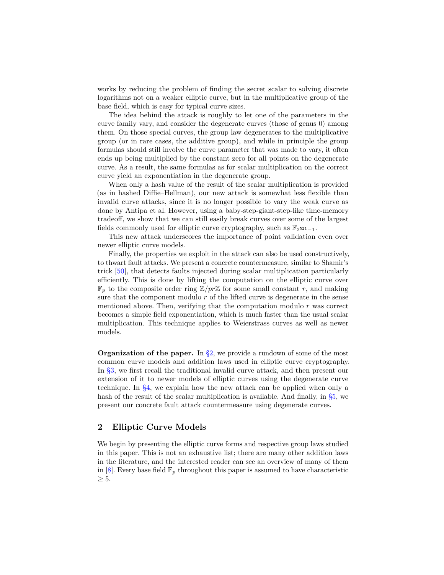works by reducing the problem of finding the secret scalar to solving discrete logarithms not on a weaker elliptic curve, but in the multiplicative group of the base field, which is easy for typical curve sizes.

The idea behind the attack is roughly to let one of the parameters in the curve family vary, and consider the degenerate curves (those of genus 0) among them. On those special curves, the group law degenerates to the multiplicative group (or in rare cases, the additive group), and while in principle the group formulas should still involve the curve parameter that was made to vary, it often ends up being multiplied by the constant zero for all points on the degenerate curve. As a result, the same formulas as for scalar multiplication on the correct curve yield an exponentiation in the degenerate group.

When only a hash value of the result of the scalar multiplication is provided (as in hashed Diffie–Hellman), our new attack is somewhat less flexible than invalid curve attacks, since it is no longer possible to vary the weak curve as done by Antipa et al. However, using a baby-step-giant-step-like time-memory tradeoff, we show that we can still easily break curves over some of the largest fields commonly used for elliptic curve cryptography, such as  $\mathbb{F}_{2^{521}-1}$ .

This new attack underscores the importance of point validation even over newer elliptic curve models.

Finally, the properties we exploit in the attack can also be used constructively, to thwart fault attacks. We present a concrete countermeasure, similar to Shamir's trick [\[50\]](#page-17-3), that detects faults injected during scalar multiplication particularly efficiently. This is done by lifting the computation on the elliptic curve over  $\mathbb{F}_p$  to the composite order ring  $\mathbb{Z}/pr\mathbb{Z}$  for some small constant r, and making sure that the component modulo *r* of the lifted curve is degenerate in the sense mentioned above. Then, verifying that the computation modulo *r* was correct becomes a simple field exponentiation, which is much faster than the usual scalar multiplication. This technique applies to Weierstrass curves as well as newer models.

**Organization of the paper.** In [§2,](#page-2-0) we provide a rundown of some of the most common curve models and addition laws used in elliptic curve cryptography. In [§3,](#page-4-0) we first recall the traditional invalid curve attack, and then present our extension of it to newer models of elliptic curves using the degenerate curve technique. In [§4,](#page-9-0) we explain how the new attack can be applied when only a hash of the result of the scalar multiplication is available. And finally, in [§5,](#page-10-0) we present our concrete fault attack countermeasure using degenerate curves.

# <span id="page-2-0"></span>**2 Elliptic Curve Models**

We begin by presenting the elliptic curve forms and respective group laws studied in this paper. This is not an exhaustive list; there are many other addition laws in the literature, and the interested reader can see an overview of many of them in  $[8]$ . Every base field  $\mathbb{F}_p$  throughout this paper is assumed to have characteristic  $\geq 5$ .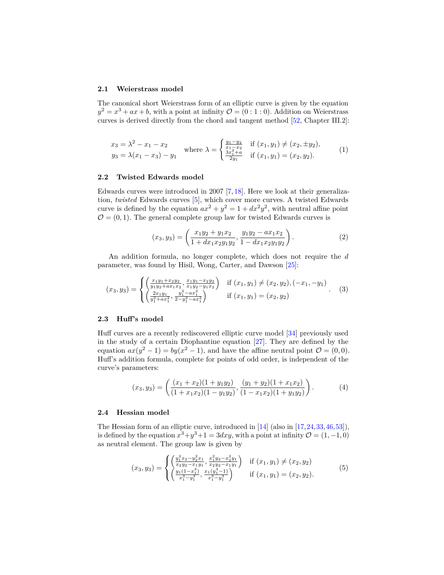#### **2.1 Weierstrass model**

The canonical short Weierstrass form of an elliptic curve is given by the equation  $y^2 = x^3 + ax + b$ , with a point at infinity  $\mathcal{O} = (0:1:0)$ . Addition on Weierstrass curves is derived directly from the chord and tangent method [\[52,](#page-17-4) Chapter III.2]:

<span id="page-3-0"></span>
$$
x_3 = \lambda^2 - x_1 - x_2
$$
  
\n
$$
y_3 = \lambda(x_1 - x_3) - y_1
$$
 where  $\lambda = \begin{cases} \frac{y_1 - y_2}{x_1 - x_2} & \text{if } (x_1, y_1) \neq (x_2, \pm y_2), \\ \frac{3x_1^2 + a}{2y_1} & \text{if } (x_1, y_1) = (x_2, y_2). \end{cases}$  (1)

#### **2.2 Twisted Edwards model**

Edwards curves were introduced in 2007 [\[7,](#page-14-4) [18\]](#page-15-4). Here we look at their generalization, *twisted* Edwards curves [\[5\]](#page-14-7), which cover more curves. A twisted Edwards curve is defined by the equation  $ax^2 + y^2 = 1 + dx^2y^2$ , with neutral affine point  $\mathcal{O} = (0, 1)$ . The general complete group law for twisted Edwards curves is

<span id="page-3-2"></span><span id="page-3-1"></span>
$$
(x_3, y_3) = \left(\frac{x_1y_2 + y_1x_2}{1 + dx_1x_2y_1y_2}, \frac{y_1y_2 - ax_1x_2}{1 - dx_1x_2y_1y_2}\right). \tag{2}
$$

An addition formula, no longer complete, which does not require the *d* parameter, was found by Hisil, Wong, Carter, and Dawson [\[25\]](#page-15-5):

$$
(x_3, y_3) = \begin{cases} \left(\frac{x_1y_1 + x_2y_2}{y_1y_2 + ax_1x_2}, \frac{x_1y_1 - x_2y_2}{x_1y_2 - y_1x_2}\right) & \text{if } (x_1, y_1) \neq (x_2, y_2), (-x_1, -y_1) \\ \left(\frac{2x_1y_1}{y_1^2 + ax_1^2}, \frac{y_1^2 - ax_1^2}{2 - y_1^2 - ax_1^2}\right) & \text{if } (x_1, y_1) = (x_2, y_2) \end{cases} (3)
$$

# **2.3 Huff's model**

Huff curves are a recently rediscovered elliptic curve model [\[34\]](#page-16-7) previously used in the study of a certain Diophantine equation [\[27\]](#page-15-6). They are defined by the equation  $ax(y^2 - 1) = by(x^2 - 1)$ , and have the affine neutral point  $\mathcal{O} = (0, 0)$ . Huff's addition formula, complete for points of odd order, is independent of the curve's parameters:

<span id="page-3-3"></span>
$$
(x_3, y_3) = \left(\frac{(x_1 + x_2)(1 + y_1y_2)}{(1 + x_1x_2)(1 - y_1y_2)}, \frac{(y_1 + y_2)(1 + x_1x_2)}{(1 - x_1x_2)(1 + y_1y_2)}\right).
$$
 (4)

#### **2.4 Hessian model**

The Hessian form of an elliptic curve, introduced in [\[14\]](#page-15-7) (also in [\[17,](#page-15-8)[24,](#page-15-9)[33,](#page-16-6)[46,](#page-17-5)[53\]](#page-17-2)), is defined by the equation  $x^3 + y^3 + 1 = 3$  *dxy*, with a point at infinity  $\mathcal{O} = (1, -1, 0)$ as neutral element. The group law is given by

$$
(x_3, y_3) = \begin{cases} \left(\frac{y_1^2 x_2 - y_2^2 x_1}{x_2 y_2 - x_1 y_1}, \frac{x_1^2 y_2 - x_2^2 y_1}{x_2 y_2 - x_1 y_1}\right) & \text{if } (x_1, y_1) \neq (x_2, y_2) \\ \left(\frac{y_1 (1 - x_1^3)}{x_1^3 - y_1^3}, \frac{x_1 (y_1^3 - 1)}{x_1^3 - y_1^3}\right) & \text{if } (x_1, y_1) = (x_2, y_2). \end{cases}
$$
(5)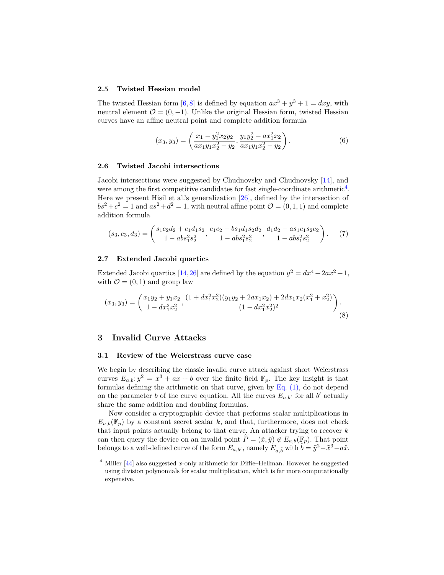#### **2.5 Twisted Hessian model**

The twisted Hessian form  $[6, 8]$  $[6, 8]$  $[6, 8]$  is defined by equation  $ax^3 + y^3 + 1 = dxy$ , with neutral element  $\mathcal{O} = (0, -1)$ . Unlike the original Hessian form, twisted Hessian curves have an affine neutral point and complete addition formula

<span id="page-4-5"></span>
$$
(x_3, y_3) = \left(\frac{x_1 - y_1^2 x_2 y_2}{a x_1 y_1 x_2^2 - y_2}, \frac{y_1 y_2^2 - a x_1^2 x_2}{a x_1 y_1 x_2^2 - y_2}\right).
$$
(6)

#### **2.6 Twisted Jacobi intersections**

Jacobi intersections were suggested by Chudnovsky and Chudnovsky [\[14\]](#page-15-7), and were among the first competitive candidates for fast single-coordinate arithmetic<sup>[4](#page-4-1)</sup>. Here we present Hisil et al.'s generalization [\[26\]](#page-15-10), defined by the intersection of  $bs^2 + c^2 = 1$  and  $as^2 + d^2 = 1$ , with neutral affine point  $\mathcal{O} = (0, 1, 1)$  and complete addition formula

<span id="page-4-4"></span>
$$
(s_3, c_3, d_3) = \left(\frac{s_1c_2d_2 + c_1d_1s_2}{1 - abs_1^2s_2^2}, \frac{c_1c_2 - bs_1d_1s_2d_2}{1 - abs_1^2s_2^2}, \frac{d_1d_2 - as_1c_1s_2c_2}{1 - abs_1^2s_2^2}\right). \tag{7}
$$

### **2.7 Extended Jacobi quartics**

Extended Jacobi quartics [\[14,](#page-15-7) [26\]](#page-15-10) are defined by the equation  $y^2 = dx^4 + 2ax^2 + 1$ , with  $\mathcal{O} = (0, 1)$  and group law

<span id="page-4-3"></span>
$$
(x_3, y_3) = \left(\frac{x_1y_2 + y_1x_2}{1 - dx_1^2x_2^2}, \frac{(1 + dx_1^2x_2^2)(y_1y_2 + 2ax_1x_2) + 2dx_1x_2(x_1^2 + x_2^2)}{(1 - dx_1^2x_2^2)^2}\right).
$$
\n(8)

# <span id="page-4-0"></span>**3 Invalid Curve Attacks**

#### <span id="page-4-2"></span>**3.1 Review of the Weierstrass curve case**

We begin by describing the classic invalid curve attack against short Weierstrass curves  $E_{a,b}: y^2 = x^3 + ax + b$  over the finite field  $\mathbb{F}_p$ . The key insight is that formulas defining the arithmetic on that curve, given by Eq.  $(1)$ , do not depend on the parameter *b* of the curve equation. All the curves  $E_{a,b'}$  for all *b'* actually share the same addition and doubling formulas.

Now consider a cryptographic device that performs scalar multiplications in  $E_{a,b}(\mathbb{F}_p)$  by a constant secret scalar *k*, and that, furthermore, does not check that input points actually belong to that curve. An attacker trying to recover *k* can then query the device on an invalid point  $\tilde{P} = (\tilde{x}, \tilde{y}) \notin E_{a,b}(\mathbb{F}_p)$ . That point belongs to a well-defined curve of the form  $E_{a,b'}$ , namely  $E_{a,\tilde{b}}$  with  $\tilde{b} = \tilde{y}^2 - \tilde{x}^3 - a\tilde{x}$ .

<span id="page-4-1"></span><sup>4</sup> Miller [\[44\]](#page-17-0) also suggested *x*-only arithmetic for Diffie–Hellman. However he suggested using division polynomials for scalar multiplication, which is far more computationally expensive.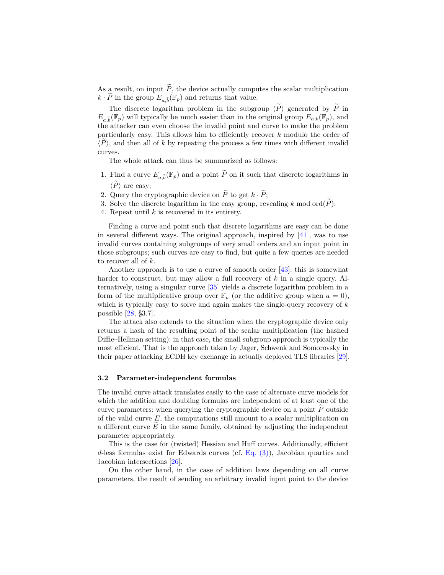As a result, on input  $\tilde{P}$ , the device actually computes the scalar multiplication  $k \cdot \widetilde{P}$  in the group  $E_{a,\tilde{b}}(\mathbb{F}_p)$  and returns that value.

The discrete logarithm problem in the subgroup  $\langle \tilde{P} \rangle$  generated by  $\tilde{P}$  in  $E_{a,\tilde{b}}(\mathbb{F}_p)$  will typically be much easier than in the original group  $E_{a,b}(\mathbb{F}_p)$ , and the attacker can even choose the invalid point and curve to make the problem particularly easy. This allows him to efficiently recover *k* modulo the order of  $\langle P \rangle$ , and then all of *k* by repeating the process a few times with different invalid curves.

The whole attack can thus be summarized as follows:

- 1. Find a curve  $E_{a,\tilde{b}}(\mathbb{F}_p)$  and a point  $\tilde{P}$  on it such that discrete logarithms in  $\langle \widetilde{P} \rangle$  are easy:
- 2. Query the cryptographic device on  $\widetilde{P}$  to get  $k \cdot \widetilde{P}$ ;
- 3. Solve the discrete logarithm in the easy group, revealing k mod ord $(\tilde{P})$ ;
- 4. Repeat until *k* is recovered in its entirety.

Finding a curve and point such that discrete logarithms are easy can be done in several different ways. The original approach, inspired by  $[41]$ , was to use invalid curves containing subgroups of very small orders and an input point in those subgroups; such curves are easy to find, but quite a few queries are needed to recover all of *k*.

Another approach is to use a curve of smooth order [\[43\]](#page-17-6): this is somewhat harder to construct, but may allow a full recovery of *k* in a single query. Alternatively, using a singular curve [\[35\]](#page-16-3) yields a discrete logarithm problem in a form of the multiplicative group over  $\mathbb{F}_p$  (or the additive group when  $a = 0$ ), which is typically easy to solve and again makes the single-query recovery of *k* possible [\[28,](#page-15-11) §3.7].

The attack also extends to the situation when the cryptographic device only returns a hash of the resulting point of the scalar multiplication (the hashed Diffie–Hellman setting): in that case, the small subgroup approach is typically the most efficient. That is the approach taken by Jager, Schwenk and Somorovsky in their paper attacking ECDH key exchange in actually deployed TLS libraries [\[29\]](#page-16-5).

### **3.2 Parameter-independent formulas**

The invalid curve attack translates easily to the case of alternate curve models for which the addition and doubling formulas are independent of at least one of the curve parameters: when querying the cryptographic device on a point  $P$  outside of the valid curve *E*, the computations still amount to a scalar multiplication on a different curve  $E$  in the same family, obtained by adjusting the independent parameter appropriately.

This is the case for (twisted) Hessian and Huff curves. Additionally, efficient *d*-less formulas exist for Edwards curves (cf. [Eq. \(3\)\)](#page-3-1), Jacobian quartics and Jacobian intersections [\[26\]](#page-15-10).

On the other hand, in the case of addition laws depending on all curve parameters, the result of sending an arbitrary invalid input point to the device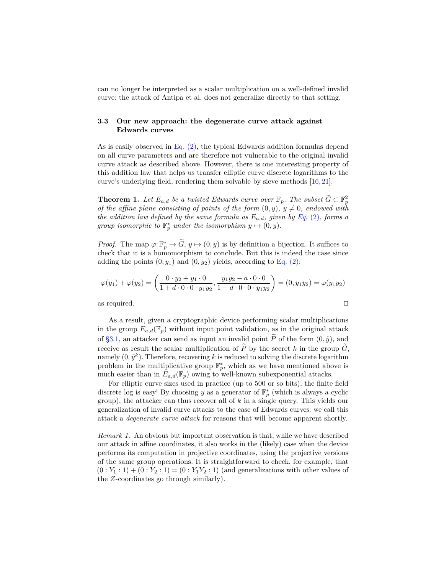can no longer be interpreted as a scalar multiplication on a well-defined invalid curve: the attack of Antipa et al. does not generalize directly to that setting.

# <span id="page-6-0"></span>**3.3 Our new approach: the degenerate curve attack against Edwards curves**

As is easily observed in Eq.  $(2)$ , the typical Edwards addition formulas depend on all curve parameters and are therefore not vulnerable to the original invalid curve attack as described above. However, there is one interesting property of this addition law that helps us transfer elliptic curve discrete logarithms to the curve's underlying field, rendering them solvable by sieve methods [\[16,](#page-15-12) [21\]](#page-15-13).

**Theorem 1.** Let  $E_{a,d}$  be a twisted Edwards curve over  $\mathbb{F}_p$ . The subset  $\widetilde{G} \subset \mathbb{F}_p^2$ *of the affine plane consisting of points of the form*  $(0, y)$ *,*  $y \neq 0$ *, endowed with the addition law defined by the same formula as*  $E_{a,d}$ *, given by*  $Eq. (2)$  $Eq. (2)$ *, forms a group isomorphic to*  $\mathbb{F}_p^*$  *under the isomorphism*  $y \mapsto (0, y)$ *.* 

*Proof.* The map  $\varphi: \mathbb{F}_p^* \to \widetilde{G}$ ,  $y \mapsto (0, y)$  is by definition a bijection. It suffices to check that it is a homomorphism to conclude. But this is indeed the case since adding the points  $(0, y_1)$  and  $(0, y_2)$  yields, according to Eq.  $(2)$ :

$$
\varphi(y_1) + \varphi(y_2) = \left(\frac{0 \cdot y_2 + y_1 \cdot 0}{1 + d \cdot 0 \cdot 0 \cdot y_1 y_2}, \frac{y_1 y_2 - a \cdot 0 \cdot 0}{1 - d \cdot 0 \cdot 0 \cdot y_1 y_2}\right) = (0, y_1 y_2) = \varphi(y_1 y_2)
$$

as required.  $\Box$ 

As a result, given a cryptographic device performing scalar multiplications in the group  $E_{a,d}(\mathbb{F}_p)$  without input point validation, as in the original attack of [§3.1,](#page-4-2) an attacker can send as input an invalid point *P* of the form  $(0, \tilde{y})$ , and receive as result the scalar multiplication of  $\widetilde{P}$  by the secret *k* in the group  $\widetilde{G}$ . namely  $(0, \tilde{y}^k)$ . Therefore, recovering k is reduced to solving the discrete logarithm problem in the multiplicative group  $\mathbb{F}_p^*$ , which as we have mentioned above is much easier than in  $E_{a,d}(\mathbb{F}_p)$  owing to well-known subexponential attacks.

For elliptic curve sizes used in practice (up to 500 or so bits), the finite field discrete log is easy! By choosing *y* as a generator of  $\mathbb{F}_p^*$  (which is always a cyclic group), the attacker can thus recover all of *k* in a single query. This yields our generalization of invalid curve attacks to the case of Edwards curves: we call this attack a *degenerate curve attack* for reasons that will become apparent shortly.

*Remark 1.* An obvious but important observation is that, while we have described our attack in affine coordinates, it also works in the (likely) case when the device performs its computation in projective coordinates, using the projective versions of the same group operations. It is straightforward to check, for example, that  $(0: Y_1: 1) + (0: Y_2: 1) = (0: Y_1Y_2: 1)$  (and generalizations with other values of the *Z*-coordinates go through similarly).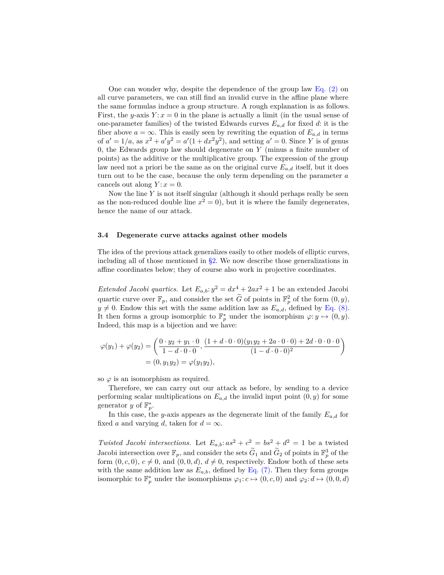One can wonder why, despite the dependence of the group law [Eq. \(2\)](#page-3-2) on all curve parameters, we can still find an invalid curve in the affine plane where the same formulas induce a group structure. A rough explanation is as follows. First, the *y*-axis  $Y: x = 0$  in the plane is actually a limit (in the usual sense of one-parameter families) of the twisted Edwards curves  $E_{a,d}$  for fixed  $d$ : it is the fiber above  $a = \infty$ . This is easily seen by rewriting the equation of  $E_{a,d}$  in terms of  $a' = 1/a$ , as  $x^2 + a'y^2 = a'(1 + dx^2y^2)$ , and setting  $a' = 0$ . Since Y is of genus 0, the Edwards group law should degenerate on *Y* (minus a finite number of points) as the additive or the multiplicative group. The expression of the group law need not a priori be the same as on the original curve  $E_{a,d}$  itself, but it does turn out to be the case, because the only term depending on the parameter *a* cancels out along  $Y: x = 0$ .

Now the line *Y* is not itself singular (although it should perhaps really be seen as the non-reduced double line  $x^2 = 0$ , but it is where the family degenerates, hence the name of our attack.

#### **3.4 Degenerate curve attacks against other models**

The idea of the previous attack generalizes easily to other models of elliptic curves, including all of those mentioned in  $\S2$ . We now describe those generalizations in affine coordinates below; they of course also work in projective coordinates.

*Extended Jacobi quartics.* Let  $E_{a,b}: y^2 = dx^4 + 2ax^2 + 1$  be an extended Jacobi quartic curve over  $\mathbb{F}_p$ , and consider the set  $\widetilde{G}$  of points in  $\mathbb{F}_p^2$  of the form  $(0, y)$ ,  $y \neq 0$ . Endow this set with the same addition law as  $E_{a,d}$ , defined by [Eq. \(8\).](#page-4-3) It then forms a group isomorphic to  $\mathbb{F}_p^*$  under the isomorphism  $\varphi: y \mapsto (0, y)$ . Indeed, this map is a bijection and we have:

$$
\varphi(y_1) + \varphi(y_2) = \left(\frac{0 \cdot y_2 + y_1 \cdot 0}{1 - d \cdot 0 \cdot 0}, \frac{(1 + d \cdot 0 \cdot 0)(y_1 y_2 + 2a \cdot 0 \cdot 0) + 2d \cdot 0 \cdot 0 \cdot 0}{(1 - d \cdot 0 \cdot 0)^2}\right)
$$
  
=  $(0, y_1 y_2) = \varphi(y_1 y_2),$ 

so  $\varphi$  is an isomorphism as required.

Therefore, we can carry out our attack as before, by sending to a device performing scalar multiplications on  $E_{a,d}$  the invalid input point  $(0, y)$  for some generator *y* of  $\mathbb{F}_p^*$ .

In this case, the *y*-axis appears as the degenerate limit of the family  $E_{a,d}$  for fixed *a* and varying *d*, taken for  $d = \infty$ .

*Twisted Jacobi intersections.* Let  $E_{a,b}: as^2 + c^2 = bs^2 + d^2 = 1$  be a twisted Jacobi intersection over  $\mathbb{F}_p$ , and consider the sets  $\widetilde{G}_1$  and  $\widetilde{G}_2$  of points in  $\mathbb{F}_p^3$  of the form  $(0, c, 0)$ ,  $c \neq 0$ , and  $(0, 0, d)$ ,  $d \neq 0$ , respectively. Endow both of these sets with the same addition law as  $E_{a,b}$ , defined by [Eq. \(7\).](#page-4-4) Then they form groups isomorphic to  $\mathbb{F}_p^*$  under the isomorphisms  $\varphi_1: c \mapsto (0, c, 0)$  and  $\varphi_2: d \mapsto (0, 0, d)$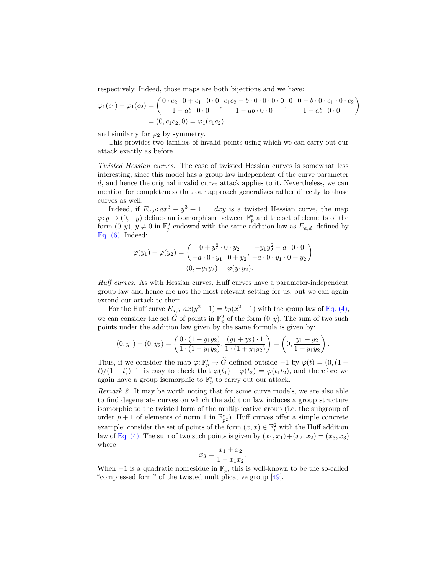respectively. Indeed, those maps are both bijections and we have:

$$
\varphi_1(c_1) + \varphi_1(c_2) = \left( \frac{0 \cdot c_2 \cdot 0 + c_1 \cdot 0 \cdot 0}{1 - ab \cdot 0 \cdot 0}, \frac{c_1 c_2 - b \cdot 0 \cdot 0 \cdot 0 \cdot 0}{1 - ab \cdot 0 \cdot 0}, \frac{0 \cdot 0 - b \cdot 0 \cdot c_1 \cdot 0 \cdot c_2}{1 - ab \cdot 0 \cdot 0} \right)
$$
  
=  $(0, c_1 c_2, 0) = \varphi_1(c_1 c_2)$ 

and similarly for  $\varphi_2$  by symmetry.

This provides two families of invalid points using which we can carry out our attack exactly as before.

*Twisted Hessian curves.* The case of twisted Hessian curves is somewhat less interesting, since this model has a group law independent of the curve parameter *d*, and hence the original invalid curve attack applies to it. Nevertheless, we can mention for completeness that our approach generalizes rather directly to those curves as well.

Indeed, if  $E_{a,d}: ax^3 + y^3 + 1 = dxy$  is a twisted Hessian curve, the map  $\varphi: y \mapsto (0, -y)$  defines an isomorphism between  $\mathbb{F}_p^*$  and the set of elements of the form  $(0, y)$ ,  $y \neq 0$  in  $\mathbb{F}_p^2$  endowed with the same addition law as  $E_{a,d}$ , defined by [Eq. \(6\).](#page-4-5) Indeed:

$$
\varphi(y_1) + \varphi(y_2) = \left(\frac{0 + y_1^2 \cdot 0 \cdot y_2}{-a \cdot 0 \cdot y_1 \cdot 0 + y_2}, \frac{-y_1 y_2^2 - a \cdot 0 \cdot 0}{-a \cdot 0 \cdot y_1 \cdot 0 + y_2}\right)
$$
  
=  $(0, -y_1 y_2) = \varphi(y_1 y_2).$ 

*Huff curves.* As with Hessian curves, Huff curves have a parameter-independent group law and hence are not the most relevant setting for us, but we can again extend our attack to them.

For the Huff curve  $E_{a,b}: ax(y^2-1) = by(x^2-1)$  with the group law of [Eq. \(4\),](#page-3-3) we can consider the set  $\widetilde{G}$  of points in  $\mathbb{F}_p^2$  of the form  $(0, y)$ . The sum of two such points under the addition law given by the same formula is given by:

$$
(0, y_1) + (0, y_2) = \left(\frac{0 \cdot (1 + y_1 y_2)}{1 \cdot (1 - y_1 y_2)}, \frac{(y_1 + y_2) \cdot 1}{1 \cdot (1 + y_1 y_2)}\right) = \left(0, \frac{y_1 + y_2}{1 + y_1 y_2}\right)
$$

*.*

Thus, if we consider the map  $\varphi: \mathbb{F}_p^* \to \widetilde{G}$  defined outside  $-1$  by  $\varphi(t) = (0, (1 - \kappa)\kappa + \kappa)$  $t$ )/(1 + *t*)), it is easy to check that  $\varphi(t_1) + \varphi(t_2) = \varphi(t_1 t_2)$ , and therefore we again have a group isomorphic to  $\mathbb{F}_p^*$  to carry out our attack.

*Remark 2.* It may be worth noting that for some curve models, we are also able to find degenerate curves on which the addition law induces a group structure isomorphic to the twisted form of the multiplicative group (i.e. the subgroup of order  $p + 1$  of elements of norm 1 in  $\mathbb{F}_{p^2}^*$ ). Huff curves offer a simple concrete example: consider the set of points of the form  $(x, x) \in \mathbb{F}_p^2$  with the Huff addition law of [Eq. \(4\).](#page-3-3) The sum of two such points is given by  $(x_1, x_1) + (x_2, x_2) = (x_3, x_3)$ where

$$
x_3 = \frac{x_1 + x_2}{1 - x_1 x_2}.
$$

When  $-1$  is a quadratic nonresidue in  $\mathbb{F}_p$ , this is well-known to be the so-called "compressed form" of the twisted multiplicative group [\[49\]](#page-17-7).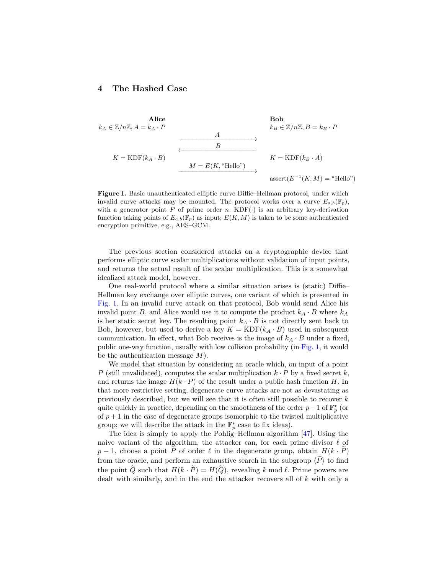# <span id="page-9-0"></span>**4 The Hashed Case**

| Alice                                             | Bob                                     |                               |
|---------------------------------------------------|-----------------------------------------|-------------------------------|
| $k_A \in \mathbb{Z}/n\mathbb{Z}, A = k_A \cdot P$ | $A$                                     |                               |
| $K = \text{KDF}(k_A \cdot B)$                     | $A$                                     | $K = \text{KDF}(k_B \cdot A)$ |
| $M = E(K, \text{ "Hello"})$                       | $ASert(E^{-1}(K, M) = \text{ "Hello"})$ |                               |

<span id="page-9-1"></span>**Figure 1.** Basic unauthenticated elliptic curve Diffie–Hellman protocol, under which invalid curve attacks may be mounted. The protocol works over a curve  $E_{a,b}(\mathbb{F}_p)$ , with a generator point  $P$  of prime order  $n$ . KDF( $\cdot$ ) is an arbitrary key-derivation function taking points of  $E_{a,b}(\mathbb{F}_p)$  as input;  $E(K, M)$  is taken to be some authenticated encryption primitive, e.g., AES–GCM.

The previous section considered attacks on a cryptographic device that performs elliptic curve scalar multiplications without validation of input points, and returns the actual result of the scalar multiplication. This is a somewhat idealized attack model, however.

One real-world protocol where a similar situation arises is (static) Diffie– Hellman key exchange over elliptic curves, one variant of which is presented in [Fig. 1.](#page-9-1) In an invalid curve attack on that protocol, Bob would send Alice his invalid point *B*, and Alice would use it to compute the product  $k_A \cdot B$  where  $k_A$ is her static secret key. The resulting point  $k_A \cdot B$  is not directly sent back to Bob, however, but used to derive a key  $K = \text{KDF}(k_A \cdot B)$  used in subsequent communication. In effect, what Bob receives is the image of  $k_A \cdot B$  under a fixed, public one-way function, usually with low collision probability (in [Fig. 1,](#page-9-1) it would be the authentication message *M*).

We model that situation by considering an oracle which, on input of a point  $P$  (still unvalidated), computes the scalar multiplication  $k \cdot P$  by a fixed secret  $k$ , and returns the image  $H(k \cdot P)$  of the result under a public hash function *H*. In that more restrictive setting, degenerate curve attacks are not as devastating as previously described, but we will see that it is often still possible to recover *k* quite quickly in practice, depending on the smoothness of the order  $p-1$  of  $\mathbb{F}_p^*$  (or of  $p+1$  in the case of degenerate groups isomorphic to the twisted multiplicative group; we will describe the attack in the  $\mathbb{F}_p^*$  case to fix ideas).

The idea is simply to apply the Pohlig–Hellman algorithm [\[47\]](#page-17-8). Using the naive variant of the algorithm, the attacker can, for each prime divisor  $\ell$  of *p* − 1, choose a point *P* of order  $\ell$  in the degenerate group, obtain  $H(k \cdot P)$ from the oracle, and perform an exhaustive search in the subgroup  $\langle \tilde{P} \rangle$  to find the point  $\tilde{Q}$  such that  $H(k \cdot \tilde{P}) = H(\tilde{Q})$ , revealing *k* mod  $\ell$ . Prime powers are dealt with similarly, and in the end the attacker recovers all of *k* with only a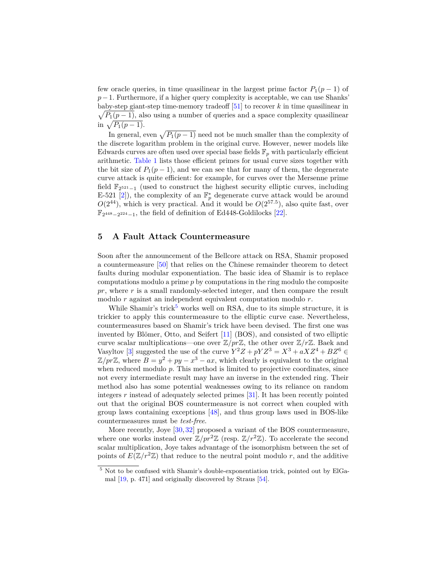few oracle queries, in time quasilinear in the largest prime factor  $P_1(p-1)$  of *p*−1. Furthermore, if a higher query complexity is acceptable, we can use Shanks' baby-step giant-step time-memory tradeoff [ [51\]](#page-17-9) to recover *k* in time quasilinear in  $\sqrt{P_1(p-1)}$ , also using a number of queries and a space complexity quasilinear in  $\sqrt{P_1(p-1)}$ .

In general, even  $\sqrt{P_1(p-1)}$  need not be much smaller than the complexity of the discrete logarithm problem in the original curve. However, newer models like Edwards curves are often used over special base fields  $\mathbb{F}_p$  with particularly efficient arithmetic. [Table 1](#page-11-0) lists those efficient primes for usual curve sizes together with the bit size of  $P_1(p-1)$ , and we can see that for many of them, the degenerate curve attack is quite efficient: for example, for curves over the Mersenne prime field  $\mathbb{F}_{2^{521}-1}$  (used to construct the highest security elliptic curves, including E-521 [\[2\]](#page-14-9)), the complexity of an  $\mathbb{F}_p^*$  degenerate curve attack would be around  $O(2^{44})$ , which is very practical. And it would be  $O(2^{57.5})$ , also quite fast, over  $\mathbb{F}_{2^{448}-2^{224}-1}$ , the field of definition of Ed448-Goldilocks [\[22\]](#page-15-14).

# <span id="page-10-0"></span>**5 A Fault Attack Countermeasure**

Soon after the announcement of the Bellcore attack on RSA, Shamir proposed a countermeasure [\[50\]](#page-17-3) that relies on the Chinese remainder theorem to detect faults during modular exponentiation. The basic idea of Shamir is to replace computations modulo a prime *p* by computations in the ring modulo the composite *pr*, where *r* is a small randomly-selected integer, and then compare the result modulo *r* against an independent equivalent computation modulo *r*.

While Shamir's trick<sup>[5](#page-10-1)</sup> works well on RSA, due to its simple structure, it is trickier to apply this countermeasure to the elliptic curve case. Nevertheless, countermeasures based on Shamir's trick have been devised. The first one was invented by Blömer, Otto, and Seifert [\[11\]](#page-14-1) (BOS), and consisted of two elliptic curve scalar multiplications—one over  $\mathbb{Z}/p r \mathbb{Z}$ , the other over  $\mathbb{Z}/r \mathbb{Z}$ . Baek and Vasyltov [\[3\]](#page-14-10) suggested the use of the curve  $Y^2Z + pYZ^3 = X^3 + aXZ^4 + BZ^6$  $\mathbb{Z}/pr\mathbb{Z}$ , where  $B = y^2 + py - x^3 - ax$ , which clearly is equivalent to the original when reduced modulo *p*. This method is limited to projective coordinates, since not every intermediate result may have an inverse in the extended ring. Their method also has some potential weaknesses owing to its reliance on random integers *r* instead of adequately selected primes [\[31\]](#page-16-10). It has been recently pointed out that the original BOS countermeasure is not correct when coupled with group laws containing exceptions [\[48\]](#page-17-10), and thus group laws used in BOS-like countermeasures must be *test-free*.

More recently, Joye [\[30,](#page-16-11) [32\]](#page-16-12) proposed a variant of the BOS countermeasure, where one works instead over  $\mathbb{Z}/pr^2\mathbb{Z}$  (resp.  $\mathbb{Z}/r^2\mathbb{Z}$ ). To accelerate the second scalar multiplication, Joye takes advantage of the isomorphism between the set of points of  $E(\mathbb{Z}/r^2\mathbb{Z})$  that reduce to the neutral point modulo *r*, and the additive

<span id="page-10-1"></span><sup>5</sup> Not to be confused with Shamir's double-exponentiation trick, pointed out by ElGamal [\[19,](#page-15-15) p. 471] and originally discovered by Straus [\[54\]](#page-17-11).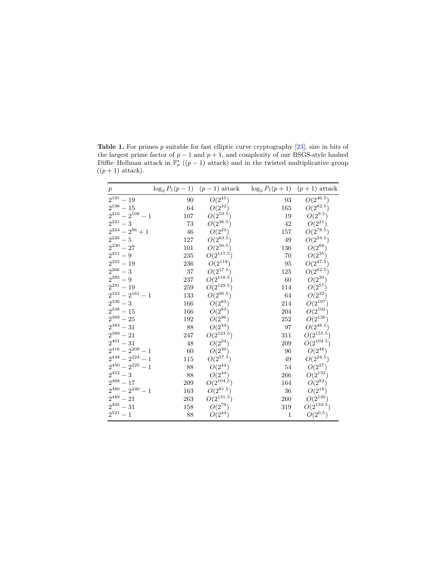| $(p+1)$ attack).        |     |                                  |                                  |                |
|-------------------------|-----|----------------------------------|----------------------------------|----------------|
| $\boldsymbol{p}$        |     | $\log_2 P_1(p-1)$ $(p-1)$ attack | $\log_2 P_1(p+1)$ $(p+1)$ attack |                |
| $2^{191} - 19$          | 90  | $O(2^{45})$                      | 93                               | $O(2^{46.5})$  |
| $2^{196} - 15$          | 64  | $O(2^{32})$                      | 165                              | $O(2^{82.5})$  |
| $2^{216} - 2^{108} - 1$ | 107 | $O(2^{53.5})$                    | 19                               | $O(2^{9.5})$   |
| $2^{221} - 3$           | 73  | $O(2^{36.5})$                    | 42                               | $O(2^{21})$    |
| $2^{224} - 2^{96} + 1$  | 46  | $O(2^{23})$                      | 157                              | $O(2^{78.5})$  |
| $2^{226} - 5$           | 127 | $O(2^{63.5})$                    | 49                               | $O(2^{24.5})$  |
| $2^{230} - 27$          | 101 | $O(2^{50.5})$                    | 136                              | $O(2^{68})$    |
| $2^{251} - 9$           | 235 | $O(2^{117.5})$                   | 70                               | $O(2^{35})$    |
| $2^{255} - 19$          | 236 | $O(2^{118})$                     | 95                               | $O(2^{47.5})$  |
| $2^{266} - 3$           | 37  | $O(2^{17.5})$                    | 125                              | $O(2^{62.5})$  |
| $2^{285} - 9$           | 237 | $O(2^{118.5})$                   | 60                               | $O(2^{30})$    |
| $2^{291} - 19$          | 259 | $O(2^{129.5})$                   | 114                              | $O(2^{57})$    |
| $2^{322} - 2^{161} - 1$ | 133 | $O(2^{66.5})$                    | 64                               | $O(2^{32})$    |
| $2^{336} - 3$           | 166 | $O(2^{83})$                      | 214                              | $O(2^{107})$   |
| $2^{338} - 15$          | 166 | $O(2^{83})$                      | 204                              | $O(2^{102})$   |
| $2^{369} - 25$          | 192 | $O(2^{96})$                      | 252                              | $O(2^{126})$   |
| $2^{383} - 31$          | 88  | $O(2^{44})$                      | 97                               | $O(2^{48.5})$  |
| $2^{389} - 21$          | 247 | $O(2^{123.5})$                   | 311                              | $O(2^{155.5})$ |
| $2^{401} - 31$          | 48  | $O(2^{24})$                      | 209                              | $O(2^{104.5})$ |

 $115 \qquad O(2^{57.5})$ 

 $\overrightarrow{O(2^{81.5})}$ 

 $\frac{6}{263}$   $O(2^{131.5})$ <br>158  $O(2^{79})$ 

 $^{495} - 31$  158  $O(2^{79})$  319  $O(2^{159.5})$ 

 $521 - 1$  88  $O(2^{44})$  1  $O(2^{0.5})$ 

 $2^{468} - 17$  209  $O(2^{104.5})$ 

 $0 \overline{O(2^{30})}$   $0 \overline{O(2^{48})}$ 

 $(2^{15} \quad 0(2^{57.5})$ <br>
228  $O(2^{44})$ <br>
226  $O(2^{27})$ <br>
226  $O(2^{133})$ 

 $\begin{array}{cccc} 88 & O(2^{44}) & 266 & O(2^{133}) \\ 209 & O(2^{104.5}) & 164 & O(2^{82}) \end{array}$ 

 $(2^{24.5})$ 

)  $36 \tO(2^{18})$ 

) 260  $O(2^{130})$ 

 $\frac{164}{0(2^{82})}$ 

 $O(2^{0.5})$ 

 $2^{416} - 2$ 

 $2^{448} - 2$ 

 $2^{450} - 2$ 

 $2^{452}-3\,$ 

 $2^{480} - 2$ 

 $2^{489} - 21$ 

 $2^{495} - 31$ 

 $2^{521} - 1$ 

<span id="page-11-0"></span>**Table 1.** For primes *p* suitable for fast elliptic curve cryptography [\[23\]](#page-15-16), size in bits of the largest prime factor of  $p-1$  and  $p+1$ , and complexity of our BSGS-style hashed Diffie–Hellman attack in  $\mathbb{F}_p^*$  ((*p* − 1) attack) and in the twisted multiplicative group ((*p* + 1) attack).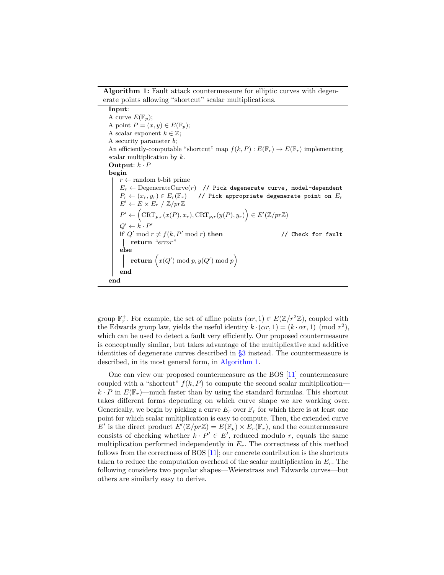**Algorithm 1:** Fault attack countermeasure for elliptic curves with degenerate points allowing "shortcut" scalar multiplications.

**Input**: A curve  $E(\mathbb{F}_n)$ ; A point  $P = (x, y) \in E(\mathbb{F}_p);$ A scalar exponent  $k \in \mathbb{Z}$ ; A security parameter *b*; An efficiently-computable "shortcut" map  $f(k, P) : E(\mathbb{F}_r) \to E(\mathbb{F}_r)$  implementing scalar multiplication by *k*. **Output**: *k* · *P* **begin**  $r \leftarrow$  random *b*-bit prime  $E_r \leftarrow$  DegenerateCurve $(r)$  // Pick degenerate curve, model-dependent  $P_r \leftarrow (x_r, y_r) \in E_r(\mathbb{F}_r)$  // Pick appropriate degenerate point on  $E_r$  $E' \leftarrow E \times E_r / \mathbb{Z}/pr\mathbb{Z}$  $P' \leftarrow (\text{CRT}_{p,r}(x(P), x_r), \text{CRT}_{p,r}(y(P), y_r)) \in E'(\mathbb{Z}/pr\mathbb{Z})$  $Q' \leftarrow k \cdot P'$ **if**  $Q'$  mod  $r \neq f(k, P' \mod r)$  **then** // Check for fault **return** *"error"* **else**  $\mathbf{return} \, \left( x(Q') \bmod p, y(Q') \bmod p \right)$ **end end**

<span id="page-12-0"></span>group  $\mathbb{F}_r^+$ . For example, the set of affine points  $(\alpha r, 1) \in E(\mathbb{Z}/r^2\mathbb{Z})$ , coupled with the Edwards group law, yields the useful identity  $k \cdot (\alpha r, 1) = (k \cdot \alpha r, 1) \pmod{r^2}$ , which can be used to detect a fault very efficiently. Our proposed countermeasure is conceptually similar, but takes advantage of the multiplicative and additive identities of degenerate curves described in [§3](#page-4-0) instead. The countermeasure is described, in its most general form, in [Algorithm 1.](#page-12-0)

One can view our proposed countermeasure as the BOS [\[11\]](#page-14-1) countermeasure coupled with a "shortcut"  $f(k, P)$  to compute the second scalar multiplication  $k \cdot P$  in  $E(\mathbb{F}_r)$ —much faster than by using the standard formulas. This shortcut takes different forms depending on which curve shape we are working over. Generically, we begin by picking a curve  $E_r$  over  $\mathbb{F}_r$  for which there is at least one point for which scalar multiplication is easy to compute. Then, the extended curve E' is the direct product  $E'(\mathbb{Z}/pr\mathbb{Z}) = E(\mathbb{F}_p) \times E_r(\mathbb{F}_r)$ , and the countermeasure consists of checking whether  $k \cdot P' \in E'$ , reduced modulo *r*, equals the same multiplication performed independently in  $E_r$ . The correctness of this method follows from the correctness of BOS [\[11\]](#page-14-1); our concrete contribution is the shortcuts taken to reduce the computation overhead of the scalar multiplication in *Er*. The following considers two popular shapes—Weierstrass and Edwards curves—but others are similarly easy to derive.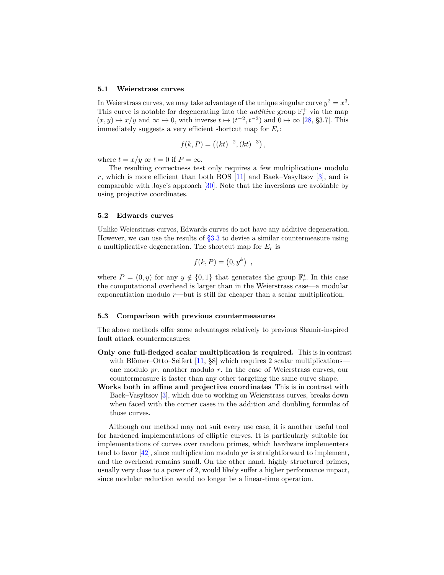#### **5.1 Weierstrass curves**

In Weierstrass curves, we may take advantage of the unique singular curve  $y^2 = x^3$ . This curve is notable for degenerating into the *additive* group  $\mathbb{F}_r^+$  via the map  $(x, y) \mapsto x/y$  and  $\infty \mapsto 0$ , with inverse  $t \mapsto (t^{-2}, t^{-3})$  and  $0 \mapsto \infty$  [\[28,](#page-15-11) §3.7]. This immediately suggests a very efficient shortcut map for  $E_r$ :

$$
f(k, P) = ((kt)^{-2}, (kt)^{-3}),
$$

where  $t = x/y$  or  $t = 0$  if  $P = \infty$ .

The resulting correctness test only requires a few multiplications modulo *r*, which is more efficient than both BOS [\[11\]](#page-14-1) and Baek–Vasyltsov [\[3\]](#page-14-10), and is comparable with Joye's approach [\[30\]](#page-16-11). Note that the inversions are avoidable by using projective coordinates.

#### **5.2 Edwards curves**

Unlike Weierstrass curves, Edwards curves do not have any additive degeneration. However, we can use the results of  $\S 3.3$  to devise a similar countermeasure using a multiplicative degeneration. The shortcut map for *E<sup>r</sup>* is

$$
f(k, P) = (0, y^k) ,
$$

where  $P = (0, y)$  for any  $y \notin \{0, 1\}$  that generates the group  $\mathbb{F}_r^*$ . In this case the computational overhead is larger than in the Weierstrass case—a modular exponentiation modulo *r*—but is still far cheaper than a scalar multiplication.

#### **5.3 Comparison with previous countermeasures**

The above methods offer some advantages relatively to previous Shamir-inspired fault attack countermeasures:

- **Only one full-fledged scalar multiplication is required.** This is in contrast with Blömer–Otto–Seifert  $[11, §8]$  $[11, §8]$  which requires 2 scalar multiplications– one modulo *pr*, another modulo *r*. In the case of Weierstrass curves, our countermeasure is faster than any other targeting the same curve shape.
- **Works both in affine and projective coordinates** This is in contrast with Baek–Vasyltsov [\[3\]](#page-14-10), which due to working on Weierstrass curves, breaks down when faced with the corner cases in the addition and doubling formulas of those curves.

Although our method may not suit every use case, it is another useful tool for hardened implementations of elliptic curves. It is particularly suitable for implementations of curves over random primes, which hardware implementers tend to favor [\[42\]](#page-17-12), since multiplication modulo *pr* is straightforward to implement, and the overhead remains small. On the other hand, highly structured primes, usually very close to a power of 2, would likely suffer a higher performance impact, since modular reduction would no longer be a linear-time operation.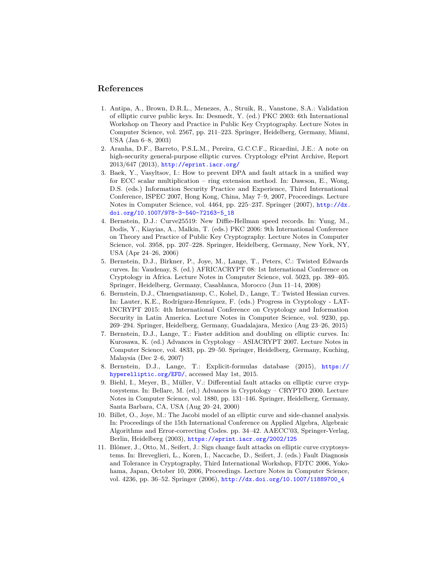# **References**

- <span id="page-14-2"></span>1. Antipa, A., Brown, D.R.L., Menezes, A., Struik, R., Vanstone, S.A.: Validation of elliptic curve public keys. In: Desmedt, Y. (ed.) PKC 2003: 6th International Workshop on Theory and Practice in Public Key Cryptography. Lecture Notes in Computer Science, vol. 2567, pp. 211–223. Springer, Heidelberg, Germany, Miami, USA (Jan 6–8, 2003)
- <span id="page-14-9"></span>2. Aranha, D.F., Barreto, P.S.L.M., Pereira, G.C.C.F., Ricardini, J.E.: A note on high-security general-purpose elliptic curves. Cryptology ePrint Archive, Report 2013/647 (2013), <http://eprint.iacr.org/>
- <span id="page-14-10"></span>3. Baek, Y., Vasyltsov, I.: How to prevent DPA and fault attack in a unified way for ECC scalar multiplication – ring extension method. In: Dawson, E., Wong, D.S. (eds.) Information Security Practice and Experience, Third International Conference, ISPEC 2007, Hong Kong, China, May 7–9, 2007, Proceedings. Lecture Notes in Computer Science, vol. 4464, pp. 225–237. Springer (2007), [http://dx.](http://dx.doi.org/10.1007/978-3-540-72163-5_18) [doi.org/10.1007/978-3-540-72163-5\\_18](http://dx.doi.org/10.1007/978-3-540-72163-5_18)
- <span id="page-14-3"></span>4. Bernstein, D.J.: Curve25519: New Diffie-Hellman speed records. In: Yung, M., Dodis, Y., Kiayias, A., Malkin, T. (eds.) PKC 2006: 9th International Conference on Theory and Practice of Public Key Cryptography. Lecture Notes in Computer Science, vol. 3958, pp. 207–228. Springer, Heidelberg, Germany, New York, NY, USA (Apr 24–26, 2006)
- <span id="page-14-7"></span>5. Bernstein, D.J., Birkner, P., Joye, M., Lange, T., Peters, C.: Twisted Edwards curves. In: Vaudenay, S. (ed.) AFRICACRYPT 08: 1st International Conference on Cryptology in Africa. Lecture Notes in Computer Science, vol. 5023, pp. 389–405. Springer, Heidelberg, Germany, Casablanca, Morocco (Jun 11–14, 2008)
- <span id="page-14-8"></span>6. Bernstein, D.J., Chuengsatiansup, C., Kohel, D., Lange, T.: Twisted Hessian curves. In: Lauter, K.E., Rodríguez-Henríquez, F. (eds.) Progress in Cryptology - LAT-INCRYPT 2015: 4th International Conference on Cryptology and Information Security in Latin America. Lecture Notes in Computer Science, vol. 9230, pp. 269–294. Springer, Heidelberg, Germany, Guadalajara, Mexico (Aug 23–26, 2015)
- <span id="page-14-4"></span>7. Bernstein, D.J., Lange, T.: Faster addition and doubling on elliptic curves. In: Kurosawa, K. (ed.) Advances in Cryptology – ASIACRYPT 2007. Lecture Notes in Computer Science, vol. 4833, pp. 29–50. Springer, Heidelberg, Germany, Kuching, Malaysia (Dec 2–6, 2007)
- <span id="page-14-6"></span>8. Bernstein, D.J., Lange, T.: Explicit-formulas database (2015), [https://](https://hyperelliptic.org/EFD/) [hyperelliptic.org/EFD/](https://hyperelliptic.org/EFD/), accessed May 1st, 2015.
- <span id="page-14-0"></span>9. Biehl, I., Meyer, B., Müller, V.: Differential fault attacks on elliptic curve cryptosystems. In: Bellare, M. (ed.) Advances in Cryptology – CRYPTO 2000. Lecture Notes in Computer Science, vol. 1880, pp. 131–146. Springer, Heidelberg, Germany, Santa Barbara, CA, USA (Aug 20–24, 2000)
- <span id="page-14-5"></span>10. Billet, O., Joye, M.: The Jacobi model of an elliptic curve and side-channel analysis. In: Proceedings of the 15th International Conference on Applied Algebra, Algebraic Algorithms and Error-correcting Codes. pp. 34–42. AAECC'03, Springer-Verlag, Berlin, Heidelberg (2003), <https://eprint.iacr.org/2002/125>
- <span id="page-14-1"></span>11. Blömer, J., Otto, M., Seifert, J.: Sign change fault attacks on elliptic curve cryptosystems. In: Breveglieri, L., Koren, I., Naccache, D., Seifert, J. (eds.) Fault Diagnosis and Tolerance in Cryptography, Third International Workshop, FDTC 2006, Yokohama, Japan, October 10, 2006, Proceedings. Lecture Notes in Computer Science, vol. 4236, pp. 36–52. Springer (2006), [http://dx.doi.org/10.1007/11889700\\_4](http://dx.doi.org/10.1007/11889700_4)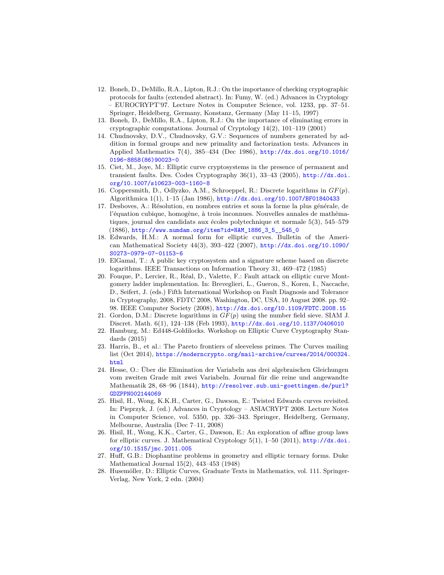- <span id="page-15-0"></span>12. Boneh, D., DeMillo, R.A., Lipton, R.J.: On the importance of checking cryptographic protocols for faults (extended abstract). In: Fumy, W. (ed.) Advances in Cryptology – EUROCRYPT'97. Lecture Notes in Computer Science, vol. 1233, pp. 37–51. Springer, Heidelberg, Germany, Konstanz, Germany (May 11–15, 1997)
- <span id="page-15-1"></span>13. Boneh, D., DeMillo, R.A., Lipton, R.J.: On the importance of eliminating errors in cryptographic computations. Journal of Cryptology 14(2), 101–119 (2001)
- <span id="page-15-7"></span>14. Chudnovsky, D.V., Chudnovsky, G.V.: Sequences of numbers generated by addition in formal groups and new primality and factorization tests. Advances in Applied Mathematics 7(4), 385–434 (Dec 1986), [http://dx.doi.org/10.1016/](http://dx.doi.org/10.1016/0196-8858(86)90023-0) [0196-8858\(86\)90023-0](http://dx.doi.org/10.1016/0196-8858(86)90023-0)
- <span id="page-15-2"></span>15. Ciet, M., Joye, M.: Elliptic curve cryptosystems in the presence of permanent and transient faults. Des. Codes Cryptography 36(1), 33–43 (2005), [http://dx.doi.](http://dx.doi.org/10.1007/s10623-003-1160-8) [org/10.1007/s10623-003-1160-8](http://dx.doi.org/10.1007/s10623-003-1160-8)
- <span id="page-15-12"></span>16. Coppersmith, D., Odlyzko, A.M., Schroeppel, R.: Discrete logarithms in *GF*(*p*). Algorithmica 1(1), 1–15 (Jan 1986), <http://dx.doi.org/10.1007/BF01840433>
- <span id="page-15-8"></span>17. Desboves, A.: Résolution, en nombres entries et sous la forme la plus générale, de l'équation cubique, homogène, à trois inconnues. Nouvelles annales de mathématiques, journal des candidats aux écoles polytechnique et normale 5(3), 545–579 (1886), [http://www.numdam.org/item?id=NAM\\_1886\\_3\\_5\\_\\_545\\_0](http://www.numdam.org/item?id=NAM_1886_3_5__545_0)
- <span id="page-15-4"></span>18. Edwards, H.M.: A normal form for elliptic curves. Bulletin of the American Mathematical Society 44(3), 393–422 (2007), [http://dx.doi.org/10.1090/](http://dx.doi.org/10.1090/S0273-0979-07-01153-6) [S0273-0979-07-01153-6](http://dx.doi.org/10.1090/S0273-0979-07-01153-6)
- <span id="page-15-15"></span>19. ElGamal, T.: A public key cryptosystem and a signature scheme based on discrete logarithms. IEEE Transactions on Information Theory 31, 469–472 (1985)
- <span id="page-15-3"></span>20. Fouque, P., Lercier, R., Réal, D., Valette, F.: Fault attack on elliptic curve Montgomery ladder implementation. In: Breveglieri, L., Gueron, S., Koren, I., Naccache, D., Seifert, J. (eds.) Fifth International Workshop on Fault Diagnosis and Tolerance in Cryptography, 2008, FDTC 2008, Washington, DC, USA, 10 August 2008. pp. 92– 98. IEEE Computer Society (2008), <http://dx.doi.org/10.1109/FDTC.2008.15>
- <span id="page-15-13"></span>21. Gordon, D.M.: Discrete logarithms in *GF*(*p*) using the number field sieve. SIAM J. Discret. Math. 6(1), 124–138 (Feb 1993), <http://dx.doi.org/10.1137/0406010>
- <span id="page-15-14"></span>22. Hamburg, M.: Ed448-Goldilocks. Workshop on Elliptic Curve Cryptography Standards (2015)
- <span id="page-15-16"></span>23. Harris, B., et al.: The Pareto frontiers of sleeveless primes. The Curves mailing list (Oct 2014), [https://moderncrypto.org/mail-archive/curves/2014/000324.](https://moderncrypto.org/mail-archive/curves/2014/000324.html) [html](https://moderncrypto.org/mail-archive/curves/2014/000324.html)
- <span id="page-15-9"></span>24. Hesse, O.: Über die Elimination der Variabeln aus drei algebraischen Gleichungen vom zweiten Grade mit zwei Variabeln. Journal für die reine und angewandte Mathematik 28, 68–96 (1844), [http://resolver.sub.uni-goettingen.de/purl?](http://resolver.sub.uni-goettingen.de/purl?GDZPPN002144069) [GDZPPN002144069](http://resolver.sub.uni-goettingen.de/purl?GDZPPN002144069)
- <span id="page-15-5"></span>25. Hisil, H., Wong, K.K.H., Carter, G., Dawson, E.: Twisted Edwards curves revisited. In: Pieprzyk, J. (ed.) Advances in Cryptology – ASIACRYPT 2008. Lecture Notes in Computer Science, vol. 5350, pp. 326–343. Springer, Heidelberg, Germany, Melbourne, Australia (Dec 7–11, 2008)
- <span id="page-15-10"></span>26. Hisil, H., Wong, K.K., Carter, G., Dawson, E.: An exploration of affine group laws for elliptic curves. J. Mathematical Cryptology  $5(1)$ ,  $1-50$  (2011),  $\frac{http://dx.doi.}{$  $\frac{http://dx.doi.}{$  $\frac{http://dx.doi.}{$ [org/10.1515/jmc.2011.005](http://dx.doi.org/10.1515/jmc.2011.005)
- <span id="page-15-6"></span>27. Huff, G.B.: Diophantine problems in geometry and elliptic ternary forms. Duke Mathematical Journal 15(2), 443–453 (1948)
- <span id="page-15-11"></span>28. Husemöller, D.: Elliptic Curves, Graduate Texts in Mathematics, vol. 111. Springer-Verlag, New York, 2 edn. (2004)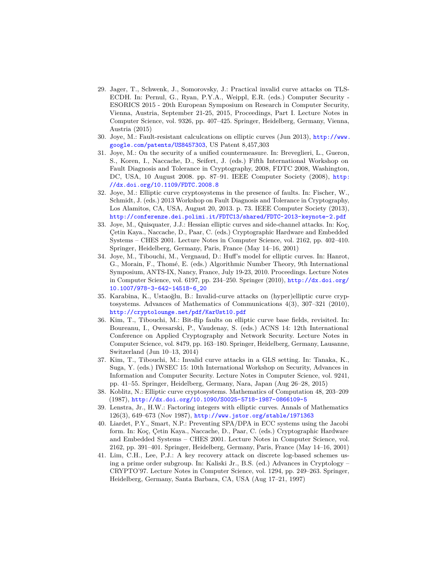- <span id="page-16-5"></span>29. Jager, T., Schwenk, J., Somorovsky, J.: Practical invalid curve attacks on TLS-ECDH. In: Pernul, G., Ryan, P.Y.A., Weippl, E.R. (eds.) Computer Security - ESORICS 2015 - 20th European Symposium on Research in Computer Security, Vienna, Austria, September 21-25, 2015, Proceedings, Part I. Lecture Notes in Computer Science, vol. 9326, pp. 407–425. Springer, Heidelberg, Germany, Vienna, Austria (2015)
- <span id="page-16-11"></span>30. Joye, M.: Fault-resistant calculcations on elliptic curves (Jun 2013), [http://www.](http://www.google.com/patents/US8457303) [google.com/patents/US8457303](http://www.google.com/patents/US8457303), US Patent 8,457,303
- <span id="page-16-10"></span>31. Joye, M.: On the security of a unified countermeasure. In: Breveglieri, L., Gueron, S., Koren, I., Naccache, D., Seifert, J. (eds.) Fifth International Workshop on Fault Diagnosis and Tolerance in Cryptography, 2008, FDTC 2008, Washington, DC, USA, 10 August 2008. pp. 87–91. IEEE Computer Society (2008), [http:](http://dx.doi.org/10.1109/FDTC.2008.8) [//dx.doi.org/10.1109/FDTC.2008.8](http://dx.doi.org/10.1109/FDTC.2008.8)
- <span id="page-16-12"></span>32. Joye, M.: Elliptic curve cryptosystems in the presence of faults. In: Fischer, W., Schmidt, J. (eds.) 2013 Workshop on Fault Diagnosis and Tolerance in Cryptography, Los Alamitos, CA, USA, August 20, 2013. p. 73. IEEE Computer Society (2013), <http://conferenze.dei.polimi.it/FDTC13/shared/FDTC-2013-keynote-2.pdf>
- <span id="page-16-6"></span>33. Joye, M., Quisquater, J.J.: Hessian elliptic curves and side-channel attacks. In: Koç, Çetin Kaya., Naccache, D., Paar, C. (eds.) Cryptographic Hardware and Embedded Systems – CHES 2001. Lecture Notes in Computer Science, vol. 2162, pp. 402–410. Springer, Heidelberg, Germany, Paris, France (May 14–16, 2001)
- <span id="page-16-7"></span>34. Joye, M., Tibouchi, M., Vergnaud, D.: Huff's model for elliptic curves. In: Hanrot, G., Morain, F., Thomé, E. (eds.) Algorithmic Number Theory, 9th International Symposium, ANTS-IX, Nancy, France, July 19-23, 2010. Proceedings. Lecture Notes in Computer Science, vol. 6197, pp. 234–250. Springer (2010), [http://dx.doi.org/](http://dx.doi.org/10.1007/978-3-642-14518-6_20) [10.1007/978-3-642-14518-6\\_20](http://dx.doi.org/10.1007/978-3-642-14518-6_20)
- <span id="page-16-3"></span>35. Karabina, K., Ustaoğlu, B.: Invalid-curve attacks on (hyper)elliptic curve cryptosystems. Advances of Mathematics of Communications 4(3), 307–321 (2010), <http://cryptolounge.net/pdf/KarUst10.pdf>
- <span id="page-16-2"></span>36. Kim, T., Tibouchi, M.: Bit-flip faults on elliptic curve base fields, revisited. In: Boureanu, I., Owesarski, P., Vaudenay, S. (eds.) ACNS 14: 12th International Conference on Applied Cryptography and Network Security. Lecture Notes in Computer Science, vol. 8479, pp. 163–180. Springer, Heidelberg, Germany, Lausanne, Switzerland (Jun 10–13, 2014)
- <span id="page-16-4"></span>37. Kim, T., Tibouchi, M.: Invalid curve attacks in a GLS setting. In: Tanaka, K., Suga, Y. (eds.) IWSEC 15: 10th International Workshop on Security, Advances in Information and Computer Security. Lecture Notes in Computer Science, vol. 9241, pp. 41–55. Springer, Heidelberg, Germany, Nara, Japan (Aug 26–28, 2015)
- <span id="page-16-0"></span>38. Koblitz, N.: Elliptic curve cryptosystems. Mathematics of Computation 48, 203–209 (1987), <http://dx.doi.org/10.1090/S0025-5718-1987-0866109-5>
- <span id="page-16-1"></span>39. Lenstra, Jr., H.W.: Factoring integers with elliptic curves. Annals of Mathematics 126(3), 649–673 (Nov 1987), <http://www.jstor.org/stable/1971363>
- <span id="page-16-8"></span>40. Liardet, P.Y., Smart, N.P.: Preventing SPA/DPA in ECC systems using the Jacobi form. In: Koç, Çetin Kaya., Naccache, D., Paar, C. (eds.) Cryptographic Hardware and Embedded Systems – CHES 2001. Lecture Notes in Computer Science, vol. 2162, pp. 391–401. Springer, Heidelberg, Germany, Paris, France (May 14–16, 2001)
- <span id="page-16-9"></span>41. Lim, C.H., Lee, P.J.: A key recovery attack on discrete log-based schemes using a prime order subgroup. In: Kaliski Jr., B.S. (ed.) Advances in Cryptology – CRYPTO'97. Lecture Notes in Computer Science, vol. 1294, pp. 249–263. Springer, Heidelberg, Germany, Santa Barbara, CA, USA (Aug 17–21, 1997)